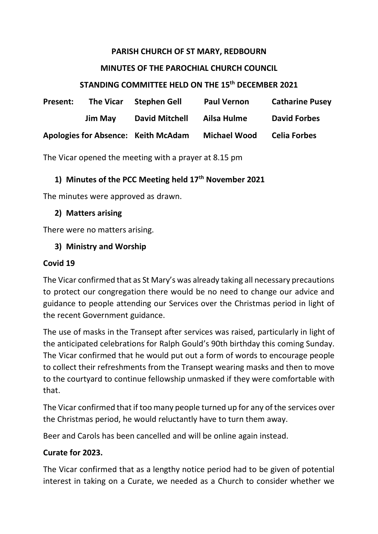#### **PARISH CHURCH OF ST MARY, REDBOURN**

#### **MINUTES OF THE PAROCHIAL CHURCH COUNCIL**

### **STANDING COMMITTEE HELD ON THE 15th DECEMBER 2021**

| <b>Present:</b>                     | <b>The Vicar</b> | <b>Stephen Gell</b>   | <b>Paul Vernon</b>  | <b>Catharine Pusey</b> |
|-------------------------------------|------------------|-----------------------|---------------------|------------------------|
|                                     | <b>Jim May</b>   | <b>David Mitchell</b> | Ailsa Hulme         | <b>David Forbes</b>    |
| Apologies for Absence: Keith McAdam |                  |                       | <b>Michael Wood</b> | <b>Celia Forbes</b>    |

The Vicar opened the meeting with a prayer at 8.15 pm

### **1) Minutes of the PCC Meeting held 17th November 2021**

The minutes were approved as drawn.

#### **2) Matters arising**

There were no matters arising.

### **3) Ministry and Worship**

#### **Covid 19**

The Vicar confirmed that as St Mary's was already taking all necessary precautions to protect our congregation there would be no need to change our advice and guidance to people attending our Services over the Christmas period in light of the recent Government guidance.

The use of masks in the Transept after services was raised, particularly in light of the anticipated celebrations for Ralph Gould's 90th birthday this coming Sunday. The Vicar confirmed that he would put out a form of words to encourage people to collect their refreshments from the Transept wearing masks and then to move to the courtyard to continue fellowship unmasked if they were comfortable with that.

The Vicar confirmed that if too many people turned up for any of the services over the Christmas period, he would reluctantly have to turn them away.

Beer and Carols has been cancelled and will be online again instead.

#### **Curate for 2023.**

The Vicar confirmed that as a lengthy notice period had to be given of potential interest in taking on a Curate, we needed as a Church to consider whether we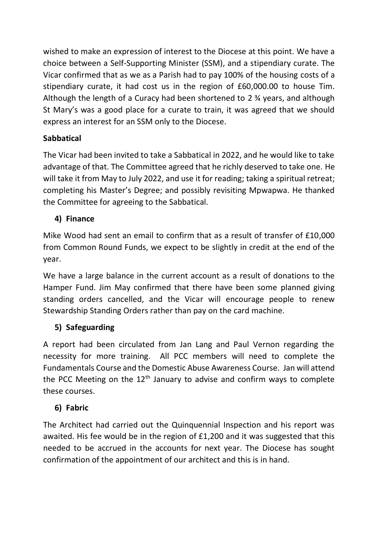wished to make an expression of interest to the Diocese at this point. We have a choice between a Self-Supporting Minister (SSM), and a stipendiary curate. The Vicar confirmed that as we as a Parish had to pay 100% of the housing costs of a stipendiary curate, it had cost us in the region of £60,000.00 to house Tim. Although the length of a Curacy had been shortened to 2 ¾ years, and although St Mary's was a good place for a curate to train, it was agreed that we should express an interest for an SSM only to the Diocese.

## **Sabbatical**

The Vicar had been invited to take a Sabbatical in 2022, and he would like to take advantage of that. The Committee agreed that he richly deserved to take one. He will take it from May to July 2022, and use it for reading; taking a spiritual retreat; completing his Master's Degree; and possibly revisiting Mpwapwa. He thanked the Committee for agreeing to the Sabbatical.

# **4) Finance**

Mike Wood had sent an email to confirm that as a result of transfer of £10,000 from Common Round Funds, we expect to be slightly in credit at the end of the year.

We have a large balance in the current account as a result of donations to the Hamper Fund. Jim May confirmed that there have been some planned giving standing orders cancelled, and the Vicar will encourage people to renew Stewardship Standing Orders rather than pay on the card machine.

# **5) Safeguarding**

A report had been circulated from Jan Lang and Paul Vernon regarding the necessity for more training. All PCC members will need to complete the Fundamentals Course and the Domestic Abuse Awareness Course. Jan will attend the PCC Meeting on the  $12<sup>th</sup>$  January to advise and confirm ways to complete these courses.

# **6) Fabric**

The Architect had carried out the Quinquennial Inspection and his report was awaited. His fee would be in the region of £1,200 and it was suggested that this needed to be accrued in the accounts for next year. The Diocese has sought confirmation of the appointment of our architect and this is in hand.